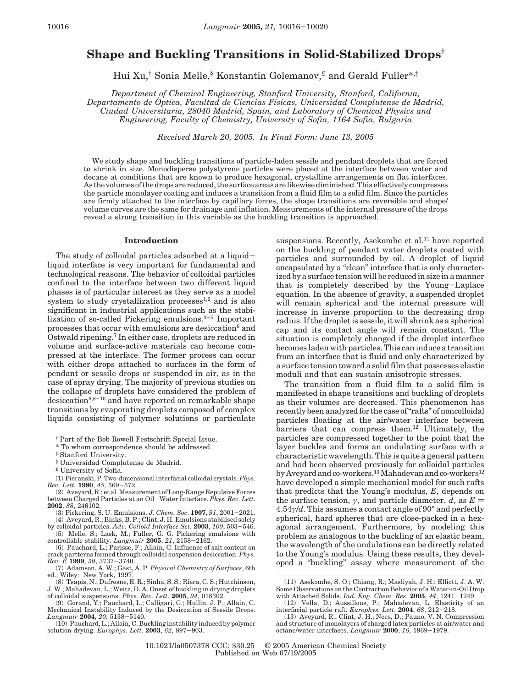# **Shape and Buckling Transitions in Solid-Stabilized Drops†**

Hui Xu,‡ Sonia Melle,§ Konstantin Golemanov,£ and Gerald Fuller\*,‡

*Department of Chemical Engineering, Stanford University, Stanford, California, Departamento de O*Ä *ptica, Facultad de Ciencias Fı*´*sicas, Universidad Complutense de Madrid, Ciudad Universitaria, 28040 Madrid, Spain, and Laboratory of Chemical Physics and Engineering, Faculty of Chemistry, University of Sofia, 1164 Sofia, Bulgaria*

*Received March 20, 2005. In Final Form: June 13, 2005*

We study shape and buckling transitions of particle-laden sessile and pendant droplets that are forced to shrink in size. Monodisperse polystyrene particles were placed at the interface between water and decane at conditions that are known to produce hexagonal, crystalline arrangements on flat interfaces. As the volumes of the drops are reduced, the surface areas are likewise diminished. This effectively compresses the particle monolayer coating and induces a transition from a fluid film to a solid film. Since the particles are firmly attached to the interface by capillary forces, the shape transitions are reversible and shape/ volume curves are the same for drainage and inflation. Measurements of the internal pressure of the drops reveal a strong transition in this variable as the buckling transition is approached.

#### **Introduction**

The study of colloidal particles adsorbed at a liquidliquid interface is very important for fundamental and technological reasons. The behavior of colloidal particles confined to the interface between two different liquid phases is of particular interest as they serve as a model system to study crystallization processes $^{1,2}$  and is also significant in industrial applications such as the stabilization of so-called Pickering emulsions.3-<sup>5</sup> Important processes that occur with emulsions are desiccation<sup>6</sup> and Ostwald ripening.7 In either case, droplets are reduced in volume and surface-active materials can become compressed at the interface. The former process can occur with either drops attached to surfaces in the form of pendant or sessile drops or suspended in air, as in the case of spray drying. The majority of previous studies on the collapse of droplets have considered the problem of desiccation $6,8-10$  and have reported on remarkable shape transitions by evaporating droplets composed of complex liquids consisting of polymer solutions or particulate

(6) Pauchard, L.; Parisse, F.; Allain, C. Influence of salt content on

of colloidal suspensions. *Phys. Rev. Lett*. **2005**, *94*, 018302. (9) Gorand, Y.; Pauchard, L.; Calligari, G.; Hullin, J. P.; Allain, C.

(10) Pauchard, L.; Allain, C. Buckling instability induced by polymer solution drying. *Europhys. Lett*. **<sup>2003</sup>**, *<sup>62</sup>*, 897-903.

suspensions. Recently, Asekomhe et al.<sup>11</sup> have reported on the buckling of pendant water droplets coated with particles and surrounded by oil. A droplet of liquid encapsulated by a "clean" interface that is only characterized by a surface tension will be reduced in size in a manner that is completely described by the Young-Laplace equation. In the absence of gravity, a suspended droplet will remain spherical and the internal pressure will increase in inverse proportion to the decreasing drop radius. If the droplet is sessile, it will shrink as a spherical cap and its contact angle will remain constant. The situation is completely changed if the droplet interface becomes laden with particles. This can induce a transition from an interface that is fluid and only characterized by a surface tension toward a solid film that possesses elastic moduli and that can sustain anisotropic stresses.

The transition from a fluid film to a solid film is manifested in shape transitions and buckling of droplets as their volumes are decreased. This phenomenon has recently been analyzed for the case of "rafts" of noncolloidal particles floating at the air/water interface between barriers that can compress them.<sup>12</sup> Ultimately, the particles are compressed together to the point that the layer buckles and forms an undulating surface with a characteristic wavelength. This is quite a general pattern and had been observed previously for colloidal particles by Aveyard and co-workers.<sup>13</sup> Mahadevan and co-workers<sup>12</sup> have developed a simple mechanical model for such rafts that predicts that the Young's modulus, *E*, depends on the surface tension,  $\gamma$ , and particle diameter,  $\overline{d}$ , as  $\overline{E}$  = 4.54*γ*/*d*. This assumes a contact angle of 90° and perfectly spherical, hard spheres that are close-packed in a hexagonal arrangement. Furthermore, by modeling this problem as analogous to the buckling of an elastic beam, the wavelength of the undulations can be directly related to the Young's modulus. Using these results, they developed a "buckling" assay where measurement of the

<sup>†</sup> Part of the Bob Rowell Festschrift Special Issue.

<sup>\*</sup> To whom correspondence should be addressed.

<sup>‡</sup> Stanford University.

<sup>§</sup> Universidad Complutense de Madrid.

<sup>£</sup> University of Sofia.

<sup>(1)</sup> Pieranski, P. Two-dimensional interfacial colloidal crystals.*Phys. Rev. Lett.* **<sup>1980</sup>**, *<sup>45</sup>*, 569-572.

<sup>(2)</sup> Aveyard, R.; et al. Measurement of Long-Range Repulsive Forces between Charged Particles at an Oil-Water Interface. *Phys. Rev. Lett*. **2002**, *88*, 246102.

<sup>(3)</sup> Pickering, S. U. Emulsions. *J. Chem. Soc*. **<sup>1907</sup>**, *<sup>91</sup>*, 2001-2021. (4) Aveyard, R.; Binks, B. P.; Clint, J. H. Emulsions stabilised solely

by colloidal particles. Adv. Colloid Interface Sci. **2003**, 100, 503–546.<br>
(5) Melle, S.; Lask, M.; Fuller, G. G. Pickering emulsions with<br>
controllable stability. Langmair **2005**, 21, 2158–2162.<br>
(6) Pauchard L.: Parisse

crack partterns formed through colloidal suspension desiccation. *Phys. Rev. E* **<sup>1999</sup>**, *<sup>59</sup>*, 3737-3740.

<sup>(7)</sup> Adamson, A. W.; Gast, A. P. *Physical Chemistry of Surfaces*, 6th ed.; Wiley: New York, 1997.

<sup>(8)</sup> Tsapis, N.; Dufresne, E. R.; Sinha, S. S.; Riera, C. S.; Hutchinson, J. W.; Mahadevan, L.; Weitz, D. A. Onset of buckling in drying droplets

Mechanical Instability Induced by the Desiccation of Sessile Drops. *Langmuir* **<sup>2004</sup>**, *<sup>20</sup>*, 5138-5140.

<sup>(11)</sup> Asekomhe, S. O.; Chiang, R.; Masliyah, J. H.; Elliott, J. A. W. Some Observations on the Contraction Behavior of a Water-in-Oil Drop with Attached Solids. *Ind. Eng. Chem. Res*. **<sup>2005</sup>**, *<sup>44</sup>*, 1241-1249. (12) Vella, D.; Aussillous, P.; Mahadevan, L. Elasticity of an

interfacial particle raft. *Europhys. Lett*. **<sup>2004</sup>**, *<sup>68</sup>*, 212-218. (13) Aveyard, R.; Clint, J. H.; Nees, D.; Pauno, V. N. Compression

and structure of monolayers of charged latex particles at air/water and octane/water interfaces. *Langmuir* **<sup>2000</sup>**, *<sup>16</sup>*, 1969-1979.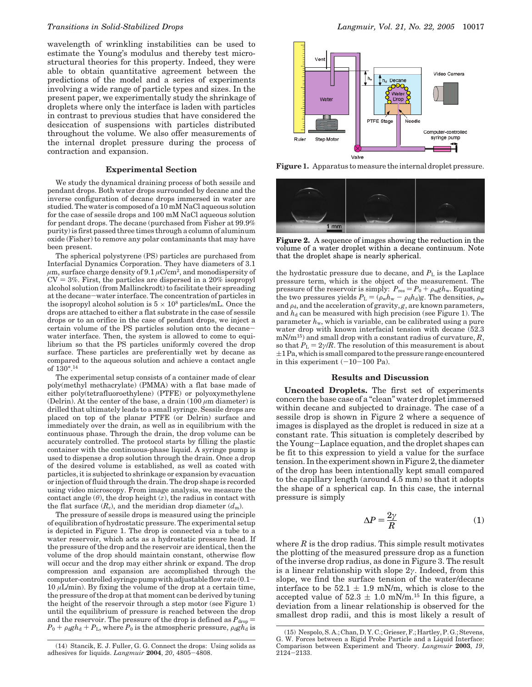wavelength of wrinkling instabilities can be used to estimate the Young's modulus and thereby test microstructural theories for this property. Indeed, they were able to obtain quantitative agreement between the predictions of the model and a series of experiments involving a wide range of particle types and sizes. In the present paper, we experimentally study the shrinkage of droplets where only the interface is laden with particles in contrast to previous studies that have considered the desiccation of suspensions with particles distributed throughout the volume. We also offer measurements of the internal droplet pressure during the process of contraction and expansion.

#### **Experimental Section**

We study the dynamical draining process of both sessile and pendant drops. Both water drops surrounded by decane and the inverse configuration of decane drops immersed in water are studied. The water is composed of a 10 mM NaCl aqueous solution for the case of sessile drops and 100 mM NaCl aqueous solution for pendant drops. The decane (purchased from Fisher at 99.9% purity) is first passed three times through a column of aluminum oxide (Fisher) to remove any polar contaminants that may have been present.

The spherical polystyrene (PS) particles are purchased from Interfacial Dynamics Corporation. They have diameters of 3.1  $\mu$ m, surface charge density of 9.1  $\mu$ C/cm<sup>2</sup>, and monodispersity of  $CV = 3\%$ . First, the particles are dispersed in a 20% isopropyl alcohol solution (from Mallinckrodt) to facilitate their spreading at the decane-water interface. The concentration of particles in the isopropyl alcohol solution is  $5 \times 10^8$  particles/mL. Once the drops are attached to either a flat substrate in the case of sessile drops or to an orifice in the case of pendant drops, we inject a certain volume of the PS particles solution onto the decanewater interface. Then, the system is allowed to come to equilibrium so that the PS particles uniformly covered the drop surface. These particles are preferentially wet by decane as compared to the aqueous solution and achieve a contact angle of 130°.14

The experimental setup consists of a container made of clear poly(methyl methacrylate) (PMMA) with a flat base made of either poly(tetrafluoroethylene) (PTFE) or polyoxymethylene (Delrin). At the center of the base, a drain  $(100 \ \mu m$  diameter) is drilled that ultimately leads to a small syringe. Sessile drops are placed on top of the planar PTFE (or Delrin) surface and immediately over the drain, as well as in equilibrium with the continuous phase. Through the drain, the drop volume can be accurately controlled. The protocol starts by filling the plastic container with the continuous-phase liquid. A syringe pump is used to dispense a drop solution through the drain. Once a drop of the desired volume is established, as well as coated with particles, it is subjected to shrinkage or expansion by evacuation or injection of fluid through the drain. The drop shape is recorded using video microscopy. From image analysis, we measure the contact angle  $(\theta)$ , the drop height  $(z)$ , the radius in contact with the flat surface  $(R_c)$ , and the meridian drop diameter  $(d_m)$ .

The pressure of sessile drops is measured using the principle of equilibration of hydrostatic pressure. The experimental setup is depicted in Figure 1. The drop is connected via a tube to a water reservoir, which acts as a hydrostatic pressure head. If the pressure of the drop and the reservoir are identical, then the volume of the drop should maintain constant, otherwise flow will occur and the drop may either shrink or expand. The drop compression and expansion are accomplished through the computer-controlled syringe pump with adjustable flow rate  $(0.1 10 \mu L/min$ ). By fixing the volume of the drop at a certain time, the pressure of the drop at that moment can be derived by tuning the height of the reservoir through a step motor (see Figure 1) until the equilibrium of pressure is reached between the drop and the reservoir. The pressure of the drop is defined as  $P_{drop} =$  $P_0 + \rho_d g h_d + P_L$ , where  $P_0$  is the atmospheric pressure,  $\rho_d g h_d$  is



**Figure 1.** Apparatus to measure the internal droplet pressure.



**Figure 2.** A sequence of images showing the reduction in the volume of a water droplet within a decane continuum. Note that the droplet shape is nearly spherical.

the hydrostatic pressure due to decane, and  $P<sub>L</sub>$  is the Laplace pressure term, which is the object of the measurement. The pressure of the reservoir is simply:  $P_{\text{res}} = P_0 + \rho_{\text{w}} g h_{\text{w}}$ . Equating the two pressures yields  $P_L = (\rho_w h_w - \rho_d h_d)g$ . The densities,  $\rho_w$ and  $\rho_d$ , and the acceleration of gravity, *g*, are known parameters, and  $h_d$  can be measured with high precision (see Figure 1). The parameter *h*w, which is variable, can be calibrated using a pure water drop with known interfacial tension with decane (52.3 mN/m<sup>15</sup>) and small drop with a constant radius of curvature,  $R$ , so that  $P_L = 2\gamma/R$ . The resolution of this measurement is about  $\pm 1$  Pa, which is small compared to the pressure range encountered in this experiment  $(-10-100 \text{ Pa})$ .

## **Results and Discussion**

**Uncoated Droplets.** The first set of experiments concern the base case of a "clean" water droplet immersed within decane and subjected to drainage. The case of a sessile drop is shown in Figure 2 where a sequence of images is displayed as the droplet is reduced in size at a constant rate. This situation is completely described by the Young-Laplace equation, and the droplet shapes can be fit to this expression to yield a value for the surface tension. In the experiment shown in Figure 2, the diameter of the drop has been intentionally kept small compared to the capillary length (around 4.5 mm) so that it adopts the shape of a spherical cap. In this case, the internal pressure is simply

$$
\Delta P = \frac{2\gamma}{R} \tag{1}
$$

where  $R$  is the drop radius. This simple result motivates the plotting of the measured pressure drop as a function of the inverse drop radius, as done in Figure 3. The result is a linear relationship with slope 2*γ*. Indeed, from this slope, we find the surface tension of the water/decane interface to be  $52.1 \pm 1.9$  mN/m, which is close to the interface to be  $52.1 \pm 1.9$  mN/m, which is close to the accepted value of  $52.3 + 1.0$  mN/m <sup>15</sup> In this figure a accepted value of  $52.3 \pm 1.0$  mN/m.<sup>15</sup> In this figure, a deviation from a linear relationship is observed for the deviation from a linear relationship is observed for the smallest drop radii, and this is most likely a result of

<sup>(14)</sup> Stancik, E. J. Fuller, G. G. Connect the drops: Using solids as adhesives for liquids. *Langmuir* **<sup>2004</sup>**, *<sup>20</sup>*, 4805-4808.

<sup>(15)</sup> Nespolo, S. A.; Chan, D. Y. C.; Grieser, F.; Hartley, P. G.; Stevens, G. W. Forces between a Rigid Probe Particle and a Liquid Interface: Comparison between Experiment and Theory. *Langmuir* **2003**, *19*, <sup>2124</sup>-2133.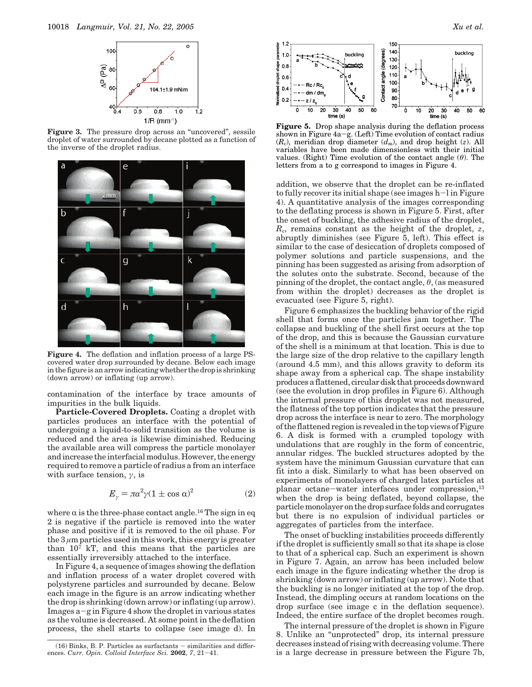

Figure 3. The pressure drop across an "uncovered", sessile droplet of water surrounded by decane plotted as a function of the inverse of the droplet radius.



**Figure 4.** The deflation and inflation process of a large PScovered water drop surrounded by decane. Below each image in the figure is an arrow indicating whether the drop is shrinking (down arrow) or inflating (up arrow).

contamination of the interface by trace amounts of impurities in the bulk liquids.

**Particle-Covered Droplets.** Coating a droplet with particles produces an interface with the potential of undergoing a liquid-to-solid transition as the volume is reduced and the area is likewise diminished. Reducing the available area will compress the particle monolayer and increase the interfacial modulus. However, the energy required to remove a particle of radius a from an interface with surface tension, *γ*, is

$$
E_{\gamma} = \pi a^2 \gamma (1 \pm \cos \alpha)^2 \tag{2}
$$

where  $\alpha$  is the three-phase contact angle.<sup>16</sup> The sign in eq 2 is negative if the particle is removed into the water phase and positive if it is removed to the oil phase. For the  $3 \mu$ m particles used in this work, this energy is greater than 107 kT, and this means that the particles are essentially irreversibly attached to the interface.

In Figure 4, a sequence of images showing the deflation and inflation process of a water droplet covered with polystyrene particles and surrounded by decane. Below each image in the figure is an arrow indicating whether the drop is shrinking (down arrow) or inflating (up arrow). Images  $a-g$  in Figure 4 show the droplet in various states as the volume is decreased. At some point in the deflation process, the shell starts to collapse (see image d). In



**Figure 5.** Drop shape analysis during the deflation process shown in Figure  $4a-g$ . (Left) Time evolution of contact radius  $(R_c)$ , meridian drop diameter  $(d_m)$ , and drop height (*z*). All variables have been made dimensionless with their initial values. (Right) Time evolution of the contact angle (*θ*). The letters from a to g correspond to images in Figure 4.

addition, we observe that the droplet can be re-inflated to fully recover its initial shape (see images h-l in Figure 4). A quantitative analysis of the images corresponding to the deflating process is shown in Figure 5. First, after the onset of buckling, the adhesive radius of the droplet,  $R_c$ , remains constant as the height of the droplet,  $z$ , abruptly diminishes (see Figure 5, left). This effect is similar to the case of desiccation of droplets composed of polymer solutions and particle suspensions, and the pinning has been suggested as arising from adsorption of the solutes onto the substrate. Second, because of the pinning of the droplet, the contact angle, *θ*, (as measured from within the droplet) decreases as the droplet is evacuated (see Figure 5, right).

Figure 6 emphasizes the buckling behavior of the rigid shell that forms once the particles jam together. The collapse and buckling of the shell first occurs at the top of the drop, and this is because the Gaussian curvature of the shell is a minimum at that location. This is due to the large size of the drop relative to the capillary length (around 4.5 mm), and this allows gravity to deform its shape away from a spherical cap. The shape instability produces a flattened, circular disk that proceeds downward (see the evolution in drop profiles in Figure 6). Although the internal pressure of this droplet was not measured, the flatness of the top portion indicates that the pressure drop across the interface is near to zero. The morphology of the flattened region is revealed in the top views of Figure 6. A disk is formed with a crumpled topology with undulations that are roughly in the form of concentric, annular ridges. The buckled structures adopted by the system have the minimum Gaussian curvature that can fit into a disk. Similarly to what has been observed on experiments of monolayers of charged latex particles at planar octane-water interfaces under compression,<sup>13</sup> when the drop is being deflated, beyond collapse, the particle monolayer on the drop surface folds and corrugates but there is no expulsion of individual particles or aggregates of particles from the interface.

The onset of buckling instabilities proceeds differently if the droplet is sufficiently small so that its shape is close to that of a spherical cap. Such an experiment is shown in Figure 7. Again, an arrow has been included below each image in the figure indicating whether the drop is shrinking (down arrow) or inflating (up arrow). Note that the buckling is no longer initiated at the top of the drop. Instead, the dimpling occurs at random locations on the drop surface (see image c in the deflation sequence). Indeed, the entire surface of the droplet becomes rough.

The internal pressure of the droplet is shown in Figure 8. Unlike an "unprotected" drop, its internal pressure decreases instead of rising with decreasing volume. There (16) Binks, B. P. Particles as surfactants – similarities and differenties in the Georgen of rising with decreasing volume. There  $\cos$  Curr. Opin. Colloid Interface Sci. 2002, 7, 21–41.

ences. *Curr. Opin. Colloid Interface Sci.* **<sup>2002</sup>**, *<sup>7</sup>*, 21-41.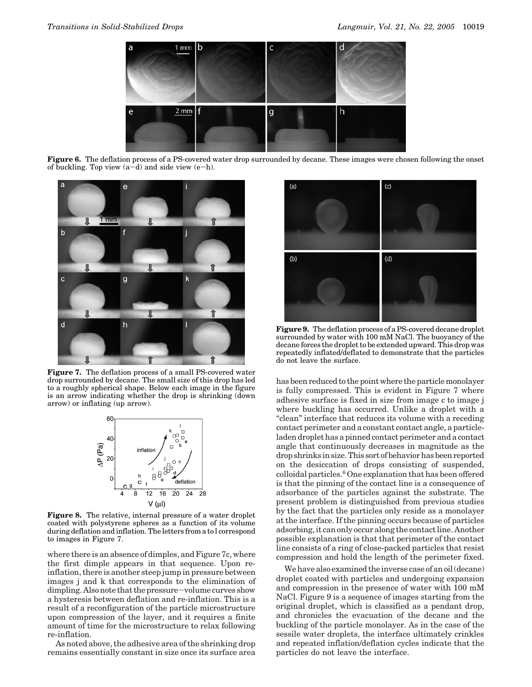

**Figure 6.** The deflation process of a PS-covered water drop surrounded by decane. These images were chosen following the onset of buckling. Top view  $(a-d)$  and side view  $(e-h)$ .



**Figure 7.** The deflation process of a small PS-covered water drop surrounded by decane. The small size of this drop has led to a roughly spherical shape. Below each image in the figure is an arrow indicating whether the drop is shrinking (down arrow) or inflating (up arrow).



**Figure 8.** The relative, internal pressure of a water droplet coated with polystyrene spheres as a function of its volume during deflation and inflation. The letters from a to l correspond to images in Figure 7.

where there is an absence of dimples, and Figure 7c, where the first dimple appears in that sequence. Upon reinflation, there is another steep jump in pressure between images j and k that corresponds to the elimination of dimpling. Also note that the pressure-volume curves show a hysteresis between deflation and re-inflation. This is a result of a reconfiguration of the particle microstructure upon compression of the layer, and it requires a finite amount of time for the microstructure to relax following re-inflation.

As noted above, the adhesive area of the shrinking drop remains essentially constant in size once its surface area



**Figure 9.** The deflation process of a PS-covered decane droplet surrounded by water with 100 mM NaCl. The buoyancy of the decane forces the droplet to be extended upward. This drop was repeatedly inflated/deflated to demonstrate that the particles do not leave the surface.

has been reduced to the point where the particle monolayer is fully compressed. This is evident in Figure 7 where adhesive surface is fixed in size from image c to image j where buckling has occurred. Unlike a droplet with a "clean" interface that reduces its volume with a receding contact perimeter and a constant contact angle, a particleladen droplet has a pinned contact perimeter and a contact angle that continuously decreases in magnitude as the drop shrinks in size. This sort of behavior has been reported on the desiccation of drops consisting of suspended, colloidal particles.6 One explanation that has been offered is that the pinning of the contact line is a consequence of adsorbance of the particles against the substrate. The present problem is distinguished from previous studies by the fact that the particles only reside as a monolayer at the interface. If the pinning occurs because of particles adsorbing, it can only occur along the contact line. Another possible explanation is that that perimeter of the contact line consists of a ring of close-packed particles that resist compression and hold the length of the perimeter fixed.

We have also examined the inverse case of an oil (decane) droplet coated with particles and undergoing expansion and compression in the presence of water with 100 mM NaCl. Figure 9 is a sequence of images starting from the original droplet, which is classified as a pendant drop, and chronicles the evacuation of the decane and the buckling of the particle monolayer. As in the case of the sessile water droplets, the interface ultimately crinkles and repeated inflation/deflation cycles indicate that the particles do not leave the interface.